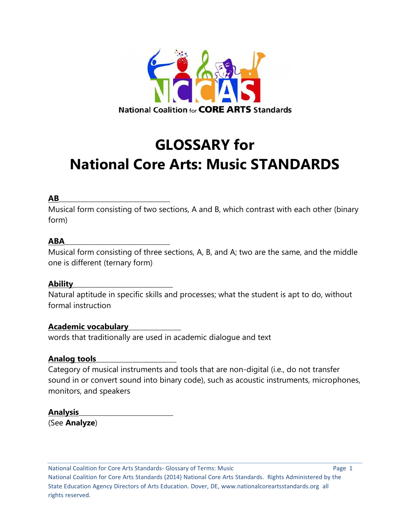

# **GLOSSARY for National Core Arts: Music STANDARDS**

## **AB**\_\_\_\_\_\_\_\_\_\_\_\_\_\_\_\_\_\_\_\_\_\_\_\_\_\_\_\_\_\_\_\_\_\_\_\_\_\_\_\_

Musical form consisting of two sections, A and B, which contrast with each other (binary form)

## **ABA**\_\_\_\_\_\_\_\_\_\_\_\_\_\_\_\_\_\_\_\_\_\_\_\_\_\_\_\_\_\_\_\_\_\_\_\_\_\_

Musical form consisting of three sections, A, B, and A; two are the same, and the middle one is different (ternary form)

#### **Ability**\_\_\_\_\_\_\_\_\_\_\_\_\_\_\_\_\_\_\_\_\_\_\_\_\_\_\_\_\_\_\_\_\_\_\_\_

Natural aptitude in specific skills and processes; what the student is apt to do, without formal instruction

## **Academic vocabulary**\_\_\_\_\_\_\_\_\_\_\_\_\_\_\_\_\_\_\_

words that traditionally are used in academic dialogue and text

#### **Analog tools**\_\_\_\_\_\_\_\_\_\_\_\_\_\_\_\_\_\_\_\_\_\_\_\_\_\_\_\_\_

Category of musical instruments and tools that are non-digital (i.e., do not transfer sound in or convert sound into binary code), such as acoustic instruments, microphones, monitors, and speakers

#### **Analysis**\_\_\_\_\_\_\_\_\_\_\_\_\_\_\_\_\_\_\_\_\_\_\_\_\_\_\_\_\_\_\_\_\_\_

(See **Analyze**)

National Coalition for Core Arts Standards- Glossary of Terms: Music Page 1 National Coalition for Core Arts Standards (2014) National Core Arts Standards. Rights Administered by the State Education Agency Directors of Arts Education. Dover, DE, www.nationalcoreartsstandards.org all rights reserved.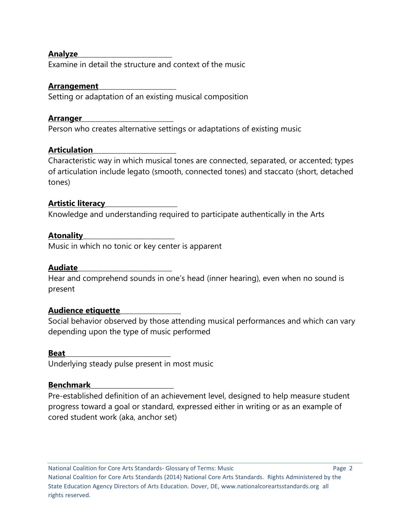#### **Analyze**\_\_\_\_\_\_\_\_\_\_\_\_\_\_\_\_\_\_\_\_\_\_\_\_\_\_\_\_\_\_\_\_\_\_

Examine in detail the structure and context of the music

### **Arrangement**\_\_\_\_\_\_\_\_\_\_\_\_\_\_\_\_\_\_\_\_\_\_\_\_\_\_\_\_

Setting or adaptation of an existing musical composition

## **Arranger**\_\_\_\_\_\_\_\_\_\_\_\_\_\_\_\_\_\_\_\_\_\_\_\_\_\_\_\_\_\_\_\_\_

Person who creates alternative settings or adaptations of existing music

# **Articulation**\_\_\_\_\_\_\_\_\_\_\_\_\_\_\_\_\_\_\_\_\_\_\_\_\_\_\_\_\_\_

Characteristic way in which musical tones are connected, separated, or accented; types of articulation include legato (smooth, connected tones) and staccato (short, detached tones)

## **Artistic literacy**\_\_\_\_\_\_\_\_\_\_\_\_\_\_\_\_\_\_\_\_\_\_\_\_\_\_

Knowledge and understanding required to participate authentically in the Arts

## **Atonality**\_\_\_\_\_\_\_\_\_\_\_\_\_\_\_\_\_\_\_\_\_\_\_\_\_\_\_\_\_\_\_\_\_

Music in which no tonic or key center is apparent

## **Audiate**\_\_\_\_\_\_\_\_\_\_\_\_\_\_\_\_\_\_\_\_\_\_\_\_\_\_\_\_\_\_\_\_\_\_

Hear and comprehend sounds in one's head (inner hearing), even when no sound is present

## **Audience etiquette**\_\_\_\_\_\_\_\_\_\_\_\_\_\_\_\_\_\_\_\_\_\_

Social behavior observed by those attending musical performances and which can vary depending upon the type of music performed

#### **Beat**\_\_\_\_\_\_\_\_\_\_\_\_\_\_\_\_\_\_\_\_\_\_\_\_\_\_\_\_\_\_\_\_\_\_\_\_\_\_

Underlying steady pulse present in most music

#### **Benchmark**

Pre-established definition of an achievement level, designed to help measure student progress toward a goal or standard, expressed either in writing or as an example of cored student work (aka, anchor set)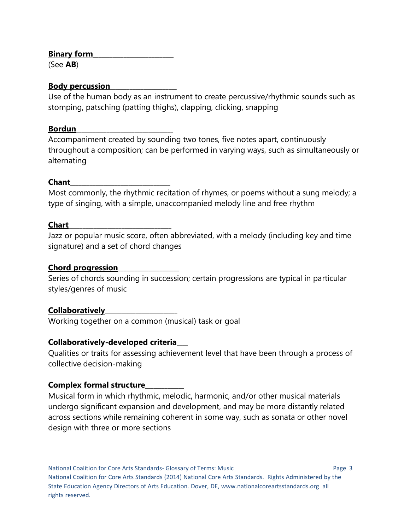## **Binary form**\_\_\_\_\_\_\_\_\_\_\_\_\_\_\_\_\_\_\_\_\_\_\_\_\_\_\_\_\_

(See **AB**)

## **Body percussion**\_\_\_\_\_\_\_\_\_\_\_\_\_\_\_\_\_\_\_\_\_\_\_\_

Use of the human body as an instrument to create percussive/rhythmic sounds such as stomping, patsching (patting thighs), clapping, clicking, snapping

## **Bordun**\_\_\_\_\_\_\_\_\_\_\_\_\_\_\_\_\_\_\_\_\_\_\_\_\_\_\_\_\_\_\_\_\_\_\_

Accompaniment created by sounding two tones, five notes apart, continuously throughout a composition; can be performed in varying ways, such as simultaneously or alternating

# **Chant**\_\_\_\_\_\_\_\_\_\_\_\_\_\_\_\_\_\_\_\_\_\_\_\_\_\_\_\_\_\_\_\_\_\_\_\_

Most commonly, the rhythmic recitation of rhymes, or poems without a sung melody; a type of singing, with a simple, unaccompanied melody line and free rhythm

# **Chart**\_\_\_\_\_\_\_\_\_\_\_\_\_\_\_\_\_\_\_\_\_\_\_\_\_\_\_\_\_\_\_\_\_\_\_\_\_

Jazz or popular music score, often abbreviated, with a melody (including key and time signature) and a set of chord changes

# **Chord progression**\_\_\_\_\_\_\_\_\_\_\_\_\_\_\_\_\_\_\_\_\_\_

Series of chords sounding in succession; certain progressions are typical in particular styles/genres of music

# **Collaboratively**\_\_\_\_\_\_\_\_\_\_\_\_\_\_\_\_\_\_\_\_\_\_\_\_\_\_

Working together on a common (musical) task or goal

# **Collaboratively-developed criteria**\_\_\_\_

Qualities or traits for assessing achievement level that have been through a process of collective decision-making

# **Complex formal structure**\_\_\_\_\_\_\_\_\_\_\_\_\_\_

Musical form in which rhythmic, melodic, harmonic, and/or other musical materials undergo significant expansion and development, and may be more distantly related across sections while remaining coherent in some way, such as sonata or other novel design with three or more sections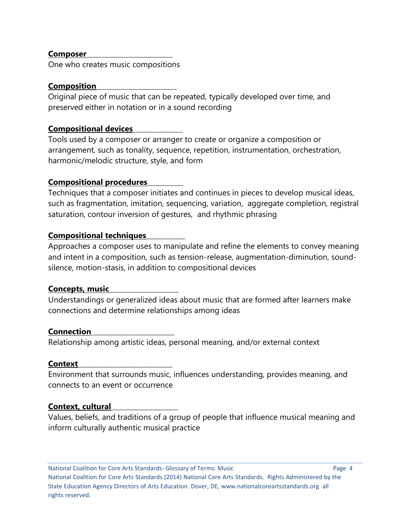#### **Composer**\_\_\_\_\_\_\_\_\_\_\_\_\_\_\_\_\_\_\_\_\_\_\_\_\_\_\_\_\_\_\_

One who creates music compositions

### **Composition**\_\_\_\_\_\_\_\_\_\_\_\_\_\_\_\_\_\_\_\_\_\_\_\_\_\_\_\_\_

Original piece of music that can be repeated, typically developed over time, and preserved either in notation or in a sound recording

## **Compositional devices**\_\_\_\_\_\_\_\_\_\_\_\_\_\_\_\_\_\_

Tools used by a composer or arranger to create or organize a composition or arrangement, such as tonality, sequence, repetition, instrumentation, orchestration, harmonic/melodic structure, style, and form

## **Compositional procedures**\_\_\_\_\_\_\_\_\_\_\_\_\_

Techniques that a composer initiates and continues in pieces to develop musical ideas, such as fragmentation, imitation, sequencing, variation, aggregate completion, registral saturation, contour inversion of gestures, and rhythmic phrasing

## **Compositional techniques**\_\_\_\_\_\_\_\_\_\_\_\_\_\_

Approaches a composer uses to manipulate and refine the elements to convey meaning and intent in a composition, such as tension-release, augmentation-diminution, soundsilence, motion-stasis, in addition to compositional devices

## **Concepts, music**\_\_\_\_\_\_\_\_\_\_\_\_\_\_\_\_\_\_\_\_\_\_\_\_\_

Understandings or generalized ideas about music that are formed after learners make connections and determine relationships among ideas

#### **Connection**\_\_\_\_\_\_\_\_\_\_\_\_\_\_\_\_\_\_\_\_\_\_\_\_\_\_\_\_\_\_

Relationship among artistic ideas, personal meaning, and/or external context

#### **Context**\_\_\_\_\_\_\_\_\_\_\_\_\_\_\_\_\_\_\_\_\_\_\_\_\_\_\_\_\_\_\_\_\_\_

Environment that surrounds music, influences understanding, provides meaning, and connects to an event or occurrence

#### **Context, cultural**\_\_\_\_\_\_\_\_\_\_\_\_\_\_\_\_\_\_\_\_\_\_\_\_

Values, beliefs, and traditions of a group of people that influence musical meaning and inform culturally authentic musical practice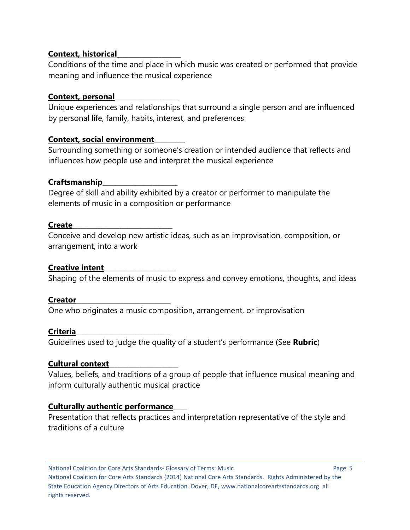## **Context, historical**\_\_\_\_\_\_\_\_\_\_\_\_\_\_\_\_\_\_\_\_\_\_\_

Conditions of the time and place in which music was created or performed that provide meaning and influence the musical experience

## **Context, personal**\_\_\_\_\_\_\_\_\_\_\_\_\_\_\_\_\_\_\_\_\_\_\_

Unique experiences and relationships that surround a single person and are influenced by personal life, family, habits, interest, and preferences

## **Context, social environment**\_\_\_\_\_\_\_\_\_\_\_

Surrounding something or someone's creation or intended audience that reflects and influences how people use and interpret the musical experience

## **Craftsmanship**\_\_\_\_\_\_\_\_\_\_\_\_\_\_\_\_\_\_\_\_\_\_\_\_\_\_\_

Degree of skill and ability exhibited by a creator or performer to manipulate the elements of music in a composition or performance

#### **Create**\_\_\_\_\_\_\_\_\_\_\_\_\_\_\_\_\_\_\_\_\_\_\_\_\_\_\_\_\_\_\_\_\_\_\_\_

Conceive and develop new artistic ideas, such as an improvisation, composition, or arrangement, into a work

## **Creative intent**\_\_\_\_\_\_\_\_\_\_\_\_\_\_\_\_\_\_\_\_\_\_\_\_\_\_

Shaping of the elements of music to express and convey emotions, thoughts, and ideas

#### **Creator**\_\_\_\_\_\_\_\_\_\_\_\_\_\_\_\_\_\_\_\_\_\_\_\_\_\_\_\_\_\_\_\_\_\_

One who originates a music composition, arrangement, or improvisation

#### **Criteria**\_\_\_\_\_\_\_\_\_\_\_\_\_\_\_\_\_\_\_\_\_\_\_\_\_\_\_\_\_\_\_\_\_\_

Guidelines used to judge the quality of a student's performance (See **Rubric**)

## **Cultural context**\_\_\_\_\_\_\_\_\_\_\_\_\_\_\_\_\_\_\_\_\_\_\_\_\_

Values, beliefs, and traditions of a group of people that influence musical meaning and inform culturally authentic musical practice

## **Culturally authentic performance**\_\_\_\_\_

Presentation that reflects practices and interpretation representative of the style and traditions of a culture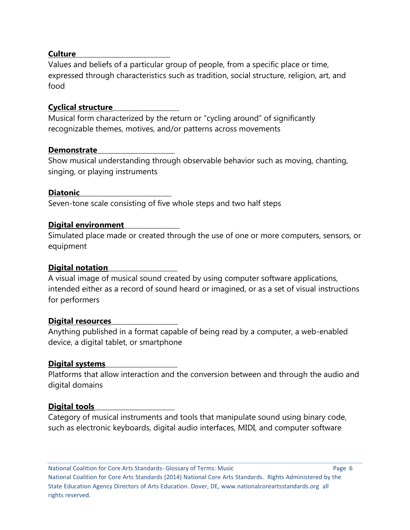### **Culture**\_\_\_\_\_\_\_\_\_\_\_\_\_\_\_\_\_\_\_\_\_\_\_\_\_\_\_\_\_\_\_\_\_\_

Values and beliefs of a particular group of people, from a specific place or time, expressed through characteristics such as tradition, social structure, religion, art, and food

## **Cyclical structure**\_\_\_\_\_\_\_\_\_\_\_\_\_\_\_\_\_\_\_\_\_\_\_\_

Musical form characterized by the return or "cycling around" of significantly recognizable themes, motives, and/or patterns across movements

#### **Demonstrate**\_\_\_\_\_\_\_\_\_\_\_\_\_\_\_\_\_\_\_\_\_\_\_\_\_\_\_\_

Show musical understanding through observable behavior such as moving, chanting, singing, or playing instruments

## **Diatonic**\_\_\_\_\_\_\_\_\_\_\_\_\_\_\_\_\_\_\_\_\_\_\_\_\_\_\_\_\_\_\_\_\_

Seven-tone scale consisting of five whole steps and two half steps

## **Digital environment**\_\_\_\_\_\_\_\_\_\_\_\_\_\_\_\_\_\_\_\_

Simulated place made or created through the use of one or more computers, sensors, or equipment

## **Digital notation**\_\_\_\_\_\_\_\_\_\_\_\_\_\_\_\_\_\_\_\_\_\_\_\_\_

A visual image of musical sound created by using computer software applications, intended either as a record of sound heard or imagined, or as a set of visual instructions for performers

#### **Digital resources**\_\_\_\_\_\_\_\_\_\_\_\_\_\_\_\_\_\_\_\_\_\_\_\_

Anything published in a format capable of being read by a computer, a web-enabled device, a digital tablet, or smartphone

## **Digital systems**\_\_\_\_\_\_\_\_\_\_\_\_\_\_\_\_\_\_\_\_\_\_\_\_\_\_

Platforms that allow interaction and the conversion between and through the audio and digital domains

#### Digital tools

Category of musical instruments and tools that manipulate sound using binary code, such as electronic keyboards, digital audio interfaces, MIDI, and computer software

National Coalition for Core Arts Standards- Glossary of Terms: Music Page 6 National Coalition for Core Arts Standards (2014) National Core Arts Standards. Rights Administered by the State Education Agency Directors of Arts Education. Dover, DE, www.nationalcoreartsstandards.org all rights reserved.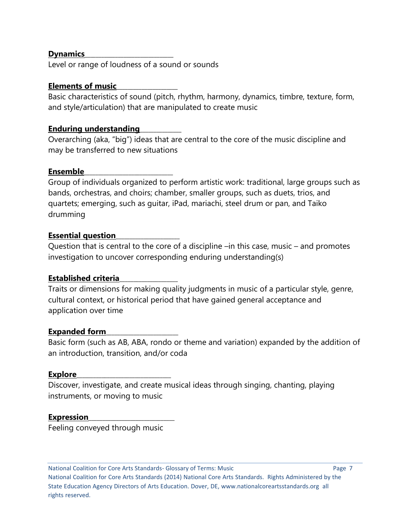#### **Dynamics**\_\_\_\_\_\_\_\_\_\_\_\_\_\_\_\_\_\_\_\_\_\_\_\_\_\_\_\_\_\_\_\_

Level or range of loudness of a sound or sounds

## **Elements of music**\_\_\_\_\_\_\_\_\_\_\_\_\_\_\_\_\_\_\_\_\_\_

Basic characteristics of sound (pitch, rhythm, harmony, dynamics, timbre, texture, form, and style/articulation) that are manipulated to create music

## **Enduring understanding**\_\_\_\_\_\_\_\_\_\_\_\_\_\_\_

Overarching (aka, "big") ideas that are central to the core of the music discipline and may be transferred to new situations

## **Ensemble**\_\_\_\_\_\_\_\_\_\_\_\_\_\_\_\_\_\_\_\_\_\_\_\_\_\_\_\_\_\_\_\_

Group of individuals organized to perform artistic work: traditional, large groups such as bands, orchestras, and choirs; chamber, smaller groups, such as duets, trios, and quartets; emerging, such as guitar, iPad, mariachi, steel drum or pan, and Taiko drumming

## **Essential question**\_\_\_\_\_\_\_\_\_\_\_\_\_\_\_\_\_\_\_\_\_\_\_

Question that is central to the core of a discipline –in this case, music – and promotes investigation to uncover corresponding enduring understanding(s)

## **Established criteria**\_\_\_\_\_\_\_\_\_\_\_\_\_\_\_\_\_\_\_\_\_

Traits or dimensions for making quality judgments in music of a particular style, genre, cultural context, or historical period that have gained general acceptance and application over time

## **Expanded form**\_\_\_\_\_\_\_\_\_\_\_\_\_\_\_\_\_\_\_\_\_\_\_\_\_\_

Basic form (such as AB, ABA, rondo or theme and variation) expanded by the addition of an introduction, transition, and/or coda

#### **Explore**\_\_\_\_\_\_\_\_\_\_\_\_\_\_\_\_\_\_\_\_\_\_\_\_\_\_\_\_\_\_\_\_\_\_

Discover, investigate, and create musical ideas through singing, chanting, playing instruments, or moving to music

#### **Expression**

Feeling conveyed through music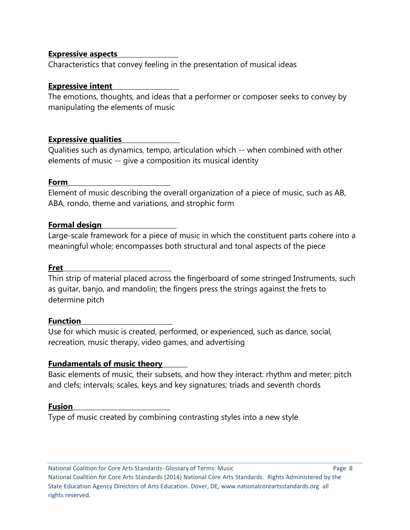### **Expressive aspects**\_\_\_\_\_\_\_\_\_\_\_\_\_\_\_\_\_\_\_\_\_\_

Characteristics that convey feeling in the presentation of musical ideas

## **Expressive intent**\_\_\_\_\_\_\_\_\_\_\_\_\_\_\_\_\_\_\_\_\_\_\_\_

The emotions, thoughts, and ideas that a performer or composer seeks to convey by manipulating the elements of music

## **Expressive qualities**\_\_\_\_\_\_\_\_\_\_\_\_\_\_\_\_\_\_\_\_\_

Qualities such as dynamics, tempo, articulation which -- when combined with other elements of music -- give a composition its musical identity

## **Form**\_\_\_\_\_\_\_\_\_\_\_\_\_\_\_\_\_\_\_\_\_\_\_\_\_\_\_\_\_\_\_\_\_\_\_\_\_

Element of music describing the overall organization of a piece of music, such as AB, ABA, rondo, theme and variations, and strophic form

## **Formal design**\_\_\_\_\_\_\_\_\_\_\_\_\_\_\_\_\_\_\_\_\_\_\_\_\_\_\_

Large-scale framework for a piece of music in which the constituent parts cohere into a meaningful whole; encompasses both structural and tonal aspects of the piece

#### **Fret**\_\_\_\_\_\_\_\_\_\_\_\_\_\_\_\_\_\_\_\_\_\_\_\_\_\_\_\_\_\_\_\_\_\_\_\_\_\_\_

Thin strip of material placed across the fingerboard of some stringed Instruments, such as guitar, banjo, and mandolin; the fingers press the strings against the frets to determine pitch

#### **Function**\_\_\_\_\_\_\_\_\_\_\_\_\_\_\_\_\_\_\_\_\_\_\_\_\_\_\_\_\_\_\_\_\_

Use for which music is created, performed, or experienced, such as dance, social, recreation, music therapy, video games, and advertising

## **Fundamentals of music theory**\_\_\_\_\_\_\_\_\_

Basic elements of music, their subsets, and how they interact: rhythm and meter; pitch and clefs; intervals; scales, keys and key signatures; triads and seventh chords

#### **Fusion**\_\_\_\_\_\_\_\_\_\_\_\_\_\_\_\_\_\_\_\_\_\_\_\_\_\_\_\_\_\_\_\_\_\_\_

Type of music created by combining contrasting styles into a new style

National Coalition for Core Arts Standards- Glossary of Terms: Music Page 8 National Coalition for Core Arts Standards (2014) National Core Arts Standards. Rights Administered by the State Education Agency Directors of Arts Education. Dover, DE, www.nationalcoreartsstandards.org all rights reserved.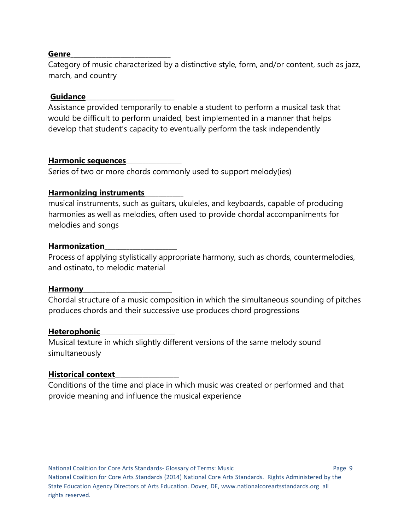#### **Genre**\_\_\_\_\_\_\_\_\_\_\_\_\_\_\_\_\_\_\_\_\_\_\_\_\_\_\_\_\_\_\_\_\_\_\_\_

Category of music characterized by a distinctive style, form, and/or content, such as jazz, march, and country

#### **Guidance**\_\_\_\_\_\_\_\_\_\_\_\_\_\_\_\_\_\_\_\_\_\_\_\_\_\_\_\_\_\_\_\_

Assistance provided temporarily to enable a student to perform a musical task that would be difficult to perform unaided, best implemented in a manner that helps develop that student's capacity to eventually perform the task independently

#### **Harmonic sequences**\_\_\_\_\_\_\_\_\_\_\_\_\_\_\_\_\_\_\_\_

Series of two or more chords commonly used to support melody(ies)

#### **Harmonizing instruments**\_\_\_\_\_\_\_\_\_\_\_\_\_\_

musical instruments, such as guitars, ukuleles, and keyboards, capable of producing harmonies as well as melodies, often used to provide chordal accompaniments for melodies and songs

#### **Harmonization**\_\_\_\_\_\_\_\_\_\_\_\_\_\_\_\_\_\_\_\_\_\_\_\_\_\_

Process of applying stylistically appropriate harmony, such as chords, countermelodies, and ostinato, to melodic material

#### **Harmony**\_\_\_\_\_\_\_\_\_\_\_\_\_\_\_\_\_\_\_\_\_\_\_\_\_\_\_\_\_\_\_\_

Chordal structure of a music composition in which the simultaneous sounding of pitches produces chords and their successive use produces chord progressions

#### **Heterophonic**\_\_\_\_\_\_\_\_\_\_\_\_\_\_\_\_\_\_\_\_\_\_\_\_\_\_\_

Musical texture in which slightly different versions of the same melody sound simultaneously

#### **Historical context**\_\_\_\_\_\_\_\_\_\_\_\_\_\_\_\_\_\_\_\_\_\_\_

Conditions of the time and place in which music was created or performed and that provide meaning and influence the musical experience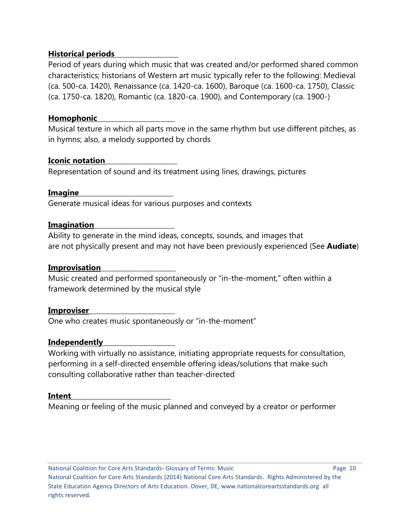## **Historical periods**\_\_\_\_\_\_\_\_\_\_\_\_\_\_\_\_\_\_\_\_\_\_\_

Period of years during which music that was created and/or performed shared common characteristics; historians of Western art music typically refer to the following: Medieval (ca. 500-ca. 1420), Renaissance (ca. 1420-ca. 1600), Baroque (ca. 1600-ca. 1750), Classic (ca. 1750-ca. 1820), Romantic (ca. 1820-ca. 1900), and Contemporary (ca. 1900-)

### **Homophonic**\_\_\_\_\_\_\_\_\_\_\_\_\_\_\_\_\_\_\_\_\_\_\_\_\_\_\_\_

Musical texture in which all parts move in the same rhythm but use different pitches, as in hymns; also, a melody supported by chords

## **Iconic notation**\_\_\_\_\_\_\_\_\_\_\_\_\_\_\_\_\_\_\_\_\_\_\_\_\_\_

Representation of sound and its treatment using lines, drawings, pictures

#### **Imagine**\_\_\_\_\_\_\_\_\_\_\_\_\_\_\_\_\_\_\_\_\_\_\_\_\_\_\_\_\_\_\_\_\_\_

Generate musical ideas for various purposes and contexts

## **Imagination**\_\_\_\_\_\_\_\_\_\_\_\_\_\_\_\_\_\_\_\_\_\_\_\_\_\_\_\_\_

Ability to generate in the mind ideas, concepts, sounds, and images that are not physically present and may not have been previously experienced (See **Audiate**)

### **Improvisation**\_\_\_\_\_\_\_\_\_\_\_\_\_\_\_\_\_\_\_\_\_\_\_\_\_\_\_

Music created and performed spontaneously or "in-the-moment," often within a framework determined by the musical style

#### **Improviser**\_\_\_\_\_\_\_\_\_\_\_\_\_\_\_\_\_\_\_\_\_\_\_\_\_\_\_\_\_\_\_

One who creates music spontaneously or "in-the-moment"

## **Independently**\_\_\_\_\_\_\_\_\_\_\_\_\_\_\_\_\_\_\_\_\_\_\_\_\_\_

Working with virtually no assistance, initiating appropriate requests for consultation, performing in a self-directed ensemble offering ideas/solutions that make such consulting collaborative rather than teacher-directed

#### **Intent**\_\_\_\_\_\_\_\_\_\_\_\_\_\_\_\_\_\_\_\_\_\_\_\_\_\_\_\_\_\_\_\_\_\_\_\_

Meaning or feeling of the music planned and conveyed by a creator or performer

National Coalition for Core Arts Standards- Glossary of Terms: Music Page 10 National Coalition for Core Arts Standards (2014) National Core Arts Standards. Rights Administered by the State Education Agency Directors of Arts Education. Dover, DE, www.nationalcoreartsstandards.org all rights reserved.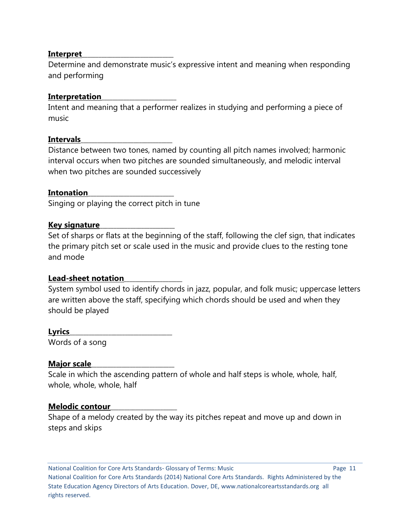#### **Interpret**\_\_\_\_\_\_\_\_\_\_\_\_\_\_\_\_\_\_\_\_\_\_\_\_\_\_\_\_\_\_\_\_\_

Determine and demonstrate music's expressive intent and meaning when responding and performing

#### **Interpretation**\_\_\_\_\_\_\_\_\_\_\_\_\_\_\_\_\_\_\_\_\_\_\_\_\_\_\_

Intent and meaning that a performer realizes in studying and performing a piece of music

#### **Intervals**\_\_\_\_\_\_\_\_\_\_\_\_\_\_\_\_\_\_\_\_\_\_\_\_\_\_\_\_\_\_\_\_\_

Distance between two tones, named by counting all pitch names involved; harmonic interval occurs when two pitches are sounded simultaneously, and melodic interval when two pitches are sounded successively

#### **Intonation**\_\_\_\_\_\_\_\_\_\_\_\_\_\_\_\_\_\_\_\_\_\_\_\_\_\_\_\_\_\_\_

Singing or playing the correct pitch in tune

#### **Key signature**\_\_\_\_\_\_\_\_\_\_\_\_\_\_\_\_\_\_\_\_\_\_\_\_\_\_\_

Set of sharps or flats at the beginning of the staff, following the clef sign, that indicates the primary pitch set or scale used in the music and provide clues to the resting tone and mode

#### **Lead-sheet notation**\_\_\_\_\_\_\_\_\_\_\_\_\_\_\_\_\_\_\_\_\_

System symbol used to identify chords in jazz, popular, and folk music; uppercase letters are written above the staff, specifying which chords should be used and when they should be played

**Lyrics**\_\_\_\_\_\_\_\_\_\_\_\_\_\_\_\_\_\_\_\_\_\_\_\_\_\_\_\_\_\_\_\_\_\_\_\_\_ Words of a song

#### **Major scale**

Scale in which the ascending pattern of whole and half steps is whole, whole, half, whole, whole, whole, half

#### **Melodic contour**\_\_\_\_\_\_\_\_\_\_\_\_\_\_\_\_\_\_\_\_\_\_\_\_

Shape of a melody created by the way its pitches repeat and move up and down in steps and skips

National Coalition for Core Arts Standards- Glossary of Terms: Music Page 11 National Coalition for Core Arts Standards (2014) National Core Arts Standards. Rights Administered by the State Education Agency Directors of Arts Education. Dover, DE, www.nationalcoreartsstandards.org all rights reserved.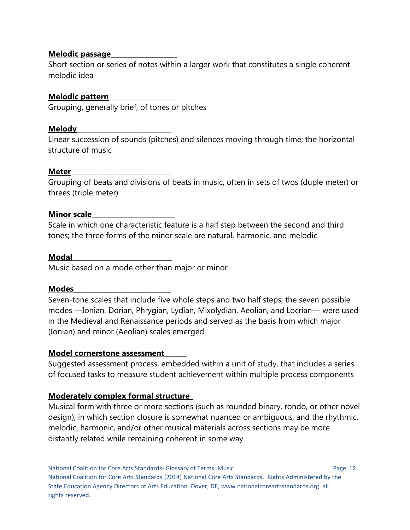### **Melodic passage**\_\_\_\_\_\_\_\_\_\_\_\_\_\_\_\_\_\_\_\_\_\_\_\_

Short section or series of notes within a larger work that constitutes a single coherent melodic idea

## **Melodic pattern**\_\_\_\_\_\_\_\_\_\_\_\_\_\_\_\_\_\_\_\_\_\_\_\_\_

Grouping, generally brief, of tones or pitches

## **Melody**\_\_\_\_\_\_\_\_\_\_\_\_\_\_\_\_\_\_\_\_\_\_\_\_\_\_\_\_\_\_\_\_\_\_

Linear succession of sounds (pitches) and silences moving through time; the horizontal structure of music

## **Meter**\_\_\_\_\_\_\_\_\_\_\_\_\_\_\_\_\_\_\_\_\_\_\_\_\_\_\_\_\_\_\_\_\_\_\_\_

Grouping of beats and divisions of beats in music, often in sets of twos (duple meter) or threes (triple meter)

## **Minor scale**

Scale in which one characteristic feature is a half step between the second and third tones; the three forms of the minor scale are natural, harmonic, and melodic

#### **Modal**\_\_\_\_\_\_\_\_\_\_\_\_\_\_\_\_\_\_\_\_\_\_\_\_\_\_\_\_\_\_\_\_\_\_\_\_

Music based on a mode other than major or minor

#### **Modes**\_\_\_\_\_\_\_\_\_\_\_\_\_\_\_\_\_\_\_\_\_\_\_\_\_\_\_\_\_\_\_\_\_\_\_

Seven-tone scales that include five whole steps and two half steps; the seven possible modes —Ionian, Dorian, Phrygian, Lydian, Mixolydian, Aeolian, and Locrian— were used in the Medieval and Renaissance periods and served as the basis from which major (Ionian) and minor (Aeolian) scales emerged

## **Model cornerstone assessment**\_\_\_\_\_\_\_\_

Suggested assessment process, embedded within a unit of study, that includes a series of focused tasks to measure student achievement within multiple process components

## **Moderately complex formal structure\_**

Musical form with three or more sections (such as rounded binary, rondo, or other novel design), in which section closure is somewhat nuanced or ambiguous, and the rhythmic, melodic, harmonic, and/or other musical materials across sections may be more distantly related while remaining coherent in some way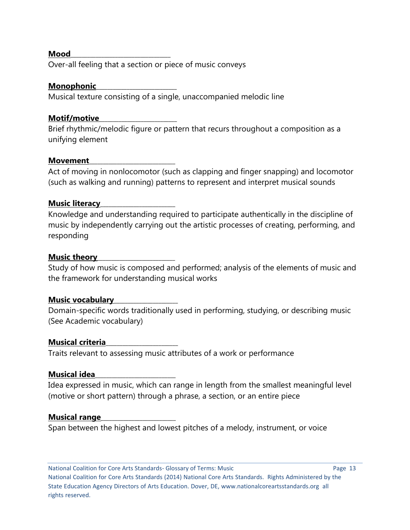#### **Mood**\_\_\_\_\_\_\_\_\_\_\_\_\_\_\_\_\_\_\_\_\_\_\_\_\_\_\_\_\_\_\_\_\_\_\_\_

Over-all feeling that a section or piece of music conveys

#### **Monophonic**\_\_\_\_\_\_\_\_\_\_\_\_\_\_\_\_\_\_\_\_\_\_\_\_\_\_\_\_\_

Musical texture consisting of a single, unaccompanied melodic line

#### **Motif/motive**\_\_\_\_\_\_\_\_\_\_\_\_\_\_\_\_\_\_\_\_\_\_\_\_\_\_\_\_

Brief rhythmic/melodic figure or pattern that recurs throughout a composition as a unifying element

#### **Movement**\_\_\_\_\_\_\_\_\_\_\_\_\_\_\_\_\_\_\_\_\_\_\_\_\_\_\_\_\_\_\_

Act of moving in nonlocomotor (such as clapping and finger snapping) and locomotor (such as walking and running) patterns to represent and interpret musical sounds

#### **Music literacy**

Knowledge and understanding required to participate authentically in the discipline of music by independently carrying out the artistic processes of creating, performing, and responding

#### **Music theory**\_\_\_\_\_\_\_\_\_\_\_\_\_\_\_\_\_\_\_\_\_\_\_\_\_\_\_\_

Study of how music is composed and performed; analysis of the elements of music and the framework for understanding musical works

#### **Music vocabulary**\_\_\_\_\_\_\_\_\_\_\_\_\_\_\_\_\_\_\_\_\_\_\_

Domain-specific words traditionally used in performing, studying, or describing music (See Academic vocabulary)

#### **Musical criteria**\_\_\_\_\_\_\_\_\_\_\_\_\_\_\_\_\_\_\_\_\_\_\_\_\_\_

Traits relevant to assessing music attributes of a work or performance

#### **Musical idea**\_\_\_\_\_\_\_\_\_\_\_\_\_\_\_\_\_\_\_\_\_\_\_\_\_\_\_\_\_

Idea expressed in music, which can range in length from the smallest meaningful level (motive or short pattern) through a phrase, a section, or an entire piece

#### **Musical range**

Span between the highest and lowest pitches of a melody, instrument, or voice

National Coalition for Core Arts Standards- Glossary of Terms: Music Page 13 National Coalition for Core Arts Standards (2014) National Core Arts Standards. Rights Administered by the State Education Agency Directors of Arts Education. Dover, DE, www.nationalcoreartsstandards.org all rights reserved.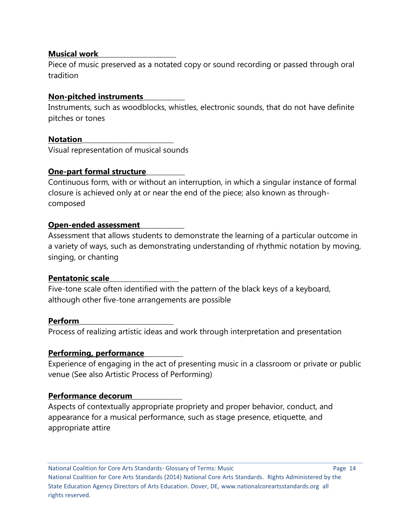### **Musical work**

Piece of music preserved as a notated copy or sound recording or passed through oral tradition

## **Non-pitched instruments**\_\_\_\_\_\_\_\_\_\_\_\_\_\_\_

Instruments, such as woodblocks, whistles, electronic sounds, that do not have definite pitches or tones

## **Notation**\_\_\_\_\_\_\_\_\_\_\_\_\_\_\_\_\_\_\_\_\_\_\_\_\_\_\_\_\_\_\_\_\_

Visual representation of musical sounds

## **One-part formal structure**\_\_\_\_\_\_\_\_\_\_\_\_\_\_

Continuous form, with or without an interruption, in which a singular instance of formal closure is achieved only at or near the end of the piece; also known as throughcomposed

## **Open-ended assessment**\_\_\_\_\_\_\_\_\_\_\_\_\_\_\_\_

Assessment that allows students to demonstrate the learning of a particular outcome in a variety of ways, such as demonstrating understanding of rhythmic notation by moving, singing, or chanting

#### **Pentatonic scale**\_\_\_\_\_\_\_\_\_\_\_\_\_\_\_\_\_\_\_\_\_\_\_\_\_

Five-tone scale often identified with the pattern of the black keys of a keyboard, although other five-tone arrangements are possible

#### **Perform**\_\_\_\_\_\_\_\_\_\_\_\_\_\_\_\_\_\_\_\_\_\_\_\_\_\_\_\_\_\_\_\_\_\_

Process of realizing artistic ideas and work through interpretation and presentation

## **Performing, performance**\_\_\_\_\_\_\_\_\_\_\_\_\_\_

Experience of engaging in the act of presenting music in a classroom or private or public venue (See also Artistic Process of Performing)

## **Performance decorum**\_\_\_\_\_\_\_\_\_\_\_\_\_\_\_\_\_\_

Aspects of contextually appropriate propriety and proper behavior, conduct, and appearance for a musical performance, such as stage presence, etiquette, and appropriate attire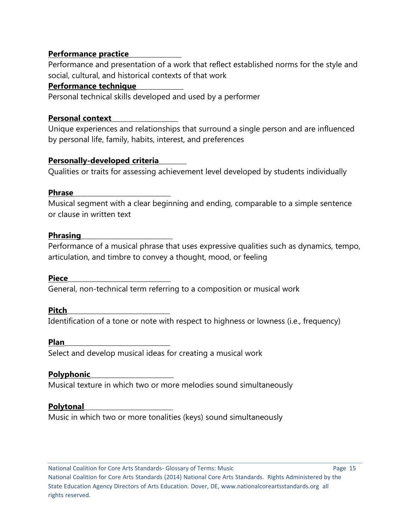## **Performance practice**\_\_\_\_\_\_\_\_\_\_\_\_\_\_\_\_\_\_\_

Performance and presentation of a work that reflect established norms for the style and social, cultural, and historical contexts of that work

#### **Performance technique**\_\_\_\_\_\_\_\_\_\_\_\_\_\_\_\_\_

Personal technical skills developed and used by a performer

#### **Personal context**\_\_\_\_\_\_\_\_\_\_\_\_\_\_\_\_\_\_\_\_\_\_\_\_

Unique experiences and relationships that surround a single person and are influenced by personal life, family, habits, interest, and preferences

## **Personally-developed criteria**\_\_\_\_\_\_\_\_\_\_

Qualities or traits for assessing achievement level developed by students individually

#### **Phrase**\_\_\_\_\_\_\_\_\_\_\_\_\_\_\_\_\_\_\_\_\_\_\_\_\_\_\_\_\_\_\_\_\_\_\_

Musical segment with a clear beginning and ending, comparable to a simple sentence or clause in written text

#### **Phrasing**

Performance of a musical phrase that uses expressive qualities such as dynamics, tempo, articulation, and timbre to convey a thought, mood, or feeling

#### **Piece**\_\_\_\_\_\_\_\_\_\_\_\_\_\_\_\_\_\_\_\_\_\_\_\_\_\_\_\_\_\_\_\_\_\_\_\_\_

General, non-technical term referring to a composition or musical work

#### **Pitch**\_\_\_\_\_\_\_\_\_\_\_\_\_\_\_\_\_\_\_\_\_\_\_\_\_\_\_\_\_\_\_\_\_\_\_\_\_

Identification of a tone or note with respect to highness or lowness (i.e., frequency)

#### **Plan**\_\_\_\_\_\_\_\_\_\_\_\_\_\_\_\_\_\_\_\_\_\_\_\_\_\_\_\_\_\_\_\_\_\_\_\_\_\_

Select and develop musical ideas for creating a musical work

## **Polyphonic**\_\_\_\_\_\_\_\_\_\_\_\_\_\_\_\_\_\_\_\_\_\_\_\_\_\_\_\_\_\_

Musical texture in which two or more melodies sound simultaneously

#### **Polytonal**\_\_\_\_\_\_\_\_\_\_\_\_\_\_\_\_\_\_\_\_\_\_\_\_\_\_\_\_\_\_\_\_

Music in which two or more tonalities (keys) sound simultaneously

National Coalition for Core Arts Standards- Glossary of Terms: Music Page 15 National Coalition for Core Arts Standards (2014) National Core Arts Standards. Rights Administered by the State Education Agency Directors of Arts Education. Dover, DE, www.nationalcoreartsstandards.org all rights reserved.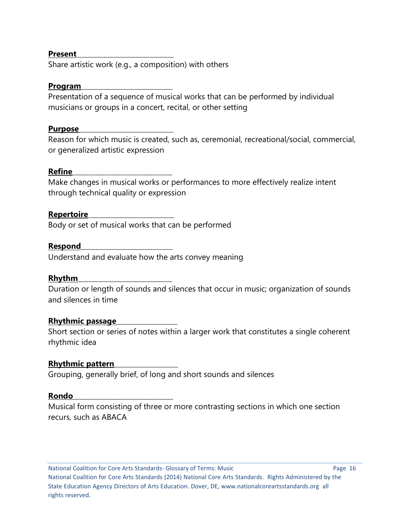#### **Present**\_\_\_\_\_\_\_\_\_\_\_\_\_\_\_\_\_\_\_\_\_\_\_\_\_\_\_\_\_\_\_\_\_\_\_

Share artistic work (e.g., a composition) with others

#### **Program**\_\_\_\_\_\_\_\_\_\_\_\_\_\_\_\_\_\_\_\_\_\_\_\_\_\_\_\_\_\_\_\_\_

Presentation of a sequence of musical works that can be performed by individual musicians or groups in a concert, recital, or other setting

#### **Purpose**\_\_\_\_\_\_\_\_\_\_\_\_\_\_\_\_\_\_\_\_\_\_\_\_\_\_\_\_\_\_\_\_\_\_

Reason for which music is created, such as, ceremonial, recreational/social, commercial, or generalized artistic expression

#### **Refine**\_\_\_\_\_\_\_\_\_\_\_\_\_\_\_\_\_\_\_\_\_\_\_\_\_\_\_\_\_\_\_\_\_\_\_\_

Make changes in musical works or performances to more effectively realize intent through technical quality or expression

#### **Repertoire**\_\_\_\_\_\_\_\_\_\_\_\_\_\_\_\_\_\_\_\_\_\_\_\_\_\_\_\_\_\_\_

Body or set of musical works that can be performed

#### **Respond**\_\_\_\_\_\_\_\_\_\_\_\_\_\_\_\_\_\_\_\_\_\_\_\_\_\_\_\_\_\_\_\_\_

Understand and evaluate how the arts convey meaning

#### **Rhythm**\_\_\_\_\_\_\_\_\_\_\_\_\_\_\_\_\_\_\_\_\_\_\_\_\_\_\_\_\_\_\_\_\_\_

Duration or length of sounds and silences that occur in music; organization of sounds and silences in time

#### **Rhythmic passage**\_\_\_\_\_\_\_\_\_\_\_\_\_\_\_\_\_\_\_\_\_\_

Short section or series of notes within a larger work that constitutes a single coherent rhythmic idea

#### **Rhythmic pattern**\_\_\_\_\_\_\_\_\_\_\_\_\_\_\_\_\_\_\_\_\_\_\_

Grouping, generally brief, of long and short sounds and silences

#### **Rondo**\_\_\_\_\_\_\_\_\_\_\_\_\_\_\_\_\_\_\_\_\_\_\_\_\_\_\_\_\_\_\_\_\_\_\_\_

Musical form consisting of three or more contrasting sections in which one section recurs, such as ABACA

National Coalition for Core Arts Standards- Glossary of Terms: Music Page 16 National Coalition for Core Arts Standards (2014) National Core Arts Standards. Rights Administered by the State Education Agency Directors of Arts Education. Dover, DE, www.nationalcoreartsstandards.org all rights reserved.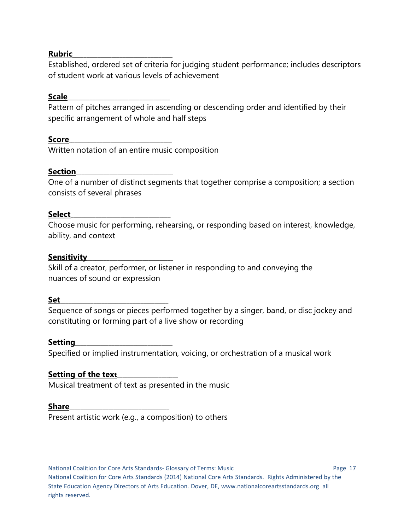#### **Rubric**\_\_\_\_\_\_\_\_\_\_\_\_\_\_\_\_\_\_\_\_\_\_\_\_\_\_\_\_\_\_\_\_\_\_\_\_

Established, ordered set of criteria for judging student performance; includes descriptors of student work at various levels of achievement

#### **Scale**\_\_\_\_\_\_\_\_\_\_\_\_\_\_\_\_\_\_\_\_\_\_\_\_\_\_\_\_\_\_\_\_\_\_\_\_\_

Pattern of pitches arranged in ascending or descending order and identified by their specific arrangement of whole and half steps

#### **Score**\_\_\_\_\_\_\_\_\_\_\_\_\_\_\_\_\_\_\_\_\_\_\_\_\_\_\_\_\_\_\_\_\_\_\_\_\_

Written notation of an entire music composition

#### **Section**

One of a number of distinct segments that together comprise a composition; a section consists of several phrases

#### **Select**\_\_\_\_\_\_\_\_\_\_\_\_\_\_\_\_\_\_\_\_\_\_\_\_\_\_\_\_\_\_\_\_\_\_\_\_

Choose music for performing, rehearsing, or responding based on interest, knowledge, ability, and context

#### **Sensitivity**\_\_\_\_\_\_\_\_\_\_\_\_\_\_\_\_\_\_\_\_\_\_\_\_\_\_\_\_\_\_\_

Skill of a creator, performer, or listener in responding to and conveying the nuances of sound or expression

#### **Set**\_\_\_\_\_\_\_\_\_\_\_\_\_\_\_\_\_\_\_\_\_\_\_\_\_\_\_\_\_\_\_\_\_\_\_\_\_\_\_

Sequence of songs or pieces performed together by a singer, band, or disc jockey and constituting or forming part of a live show or recording

#### **Setting**\_\_\_\_\_\_\_\_\_\_\_\_\_\_\_\_\_\_\_\_\_\_\_\_\_\_\_\_\_\_\_\_\_\_\_

Specified or implied instrumentation, voicing, or orchestration of a musical work

#### **Setting of the text**\_\_\_\_\_\_\_\_\_\_\_\_\_\_\_\_\_\_\_\_\_\_

Musical treatment of text as presented in the music

#### **Share**\_\_\_\_\_\_\_\_\_\_\_\_\_\_\_\_\_\_\_\_\_\_\_\_\_\_\_\_\_\_\_\_\_\_\_\_

Present artistic work (e.g., a composition) to others

National Coalition for Core Arts Standards- Glossary of Terms: Music Page 17 National Coalition for Core Arts Standards (2014) National Core Arts Standards. Rights Administered by the State Education Agency Directors of Arts Education. Dover, DE, www.nationalcoreartsstandards.org all rights reserved.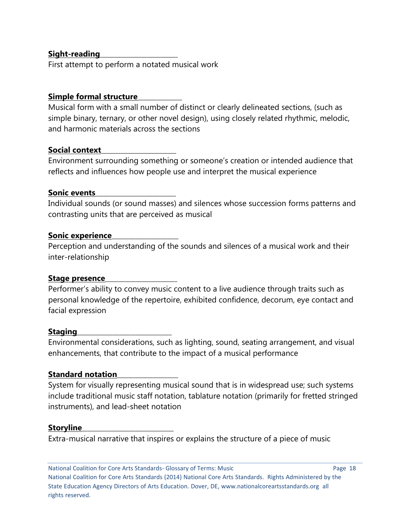## **Sight-reading**\_\_\_\_\_\_\_\_\_\_\_\_\_\_\_\_\_\_\_\_\_\_\_\_\_\_\_\_

First attempt to perform a notated musical work

## **Simple formal structure**\_\_\_\_\_\_\_\_\_\_\_\_\_\_\_\_

Musical form with a small number of distinct or clearly delineated sections, (such as simple binary, ternary, or other novel design), using closely related rhythmic, melodic, and harmonic materials across the sections

#### **Social context**\_\_\_\_\_\_\_\_\_\_\_\_\_\_\_\_\_\_\_\_\_\_\_\_\_\_\_

Environment surrounding something or someone's creation or intended audience that reflects and influences how people use and interpret the musical experience

#### **Sonic events**\_\_\_\_\_\_\_\_\_\_\_\_\_\_\_\_\_\_\_\_\_\_\_\_\_\_\_\_\_

Individual sounds (or sound masses) and silences whose succession forms patterns and contrasting units that are perceived as musical

#### **Sonic experience**\_\_\_\_\_\_\_\_\_\_\_\_\_\_\_\_\_\_\_\_\_\_\_\_

Perception and understanding of the sounds and silences of a musical work and their inter-relationship

#### **Stage presence**\_\_\_\_\_\_\_\_\_\_\_\_\_\_\_\_\_\_\_\_\_\_\_\_\_\_

Performer's ability to convey music content to a live audience through traits such as personal knowledge of the repertoire, exhibited confidence, decorum, eye contact and facial expression

#### **Staging**\_\_\_\_\_\_\_\_\_\_\_\_\_\_\_\_\_\_\_\_\_\_\_\_\_\_\_\_\_\_\_\_\_\_

Environmental considerations, such as lighting, sound, seating arrangement, and visual enhancements, that contribute to the impact of a musical performance

#### **Standard notation**\_\_\_\_\_\_\_\_\_\_\_\_\_\_\_\_\_\_\_\_\_\_

System for visually representing musical sound that is in widespread use; such systems include traditional music staff notation, tablature notation (primarily for fretted stringed instruments), and lead-sheet notation

#### **Storyline**\_\_\_\_\_\_\_\_\_\_\_\_\_\_\_\_\_\_\_\_\_\_\_\_\_\_\_\_\_\_\_\_\_

Extra-musical narrative that inspires or explains the structure of a piece of music

National Coalition for Core Arts Standards- Glossary of Terms: Music Page 18 National Coalition for Core Arts Standards (2014) National Core Arts Standards. Rights Administered by the State Education Agency Directors of Arts Education. Dover, DE, www.nationalcoreartsstandards.org all rights reserved.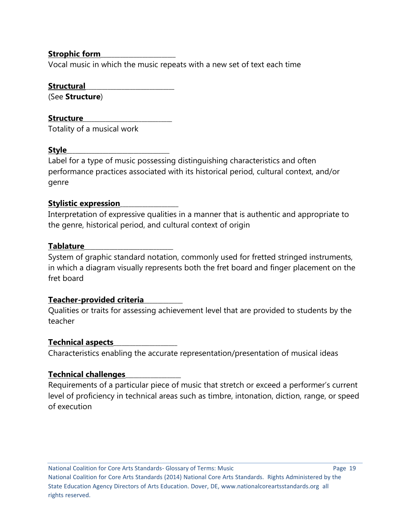## **Strophic form**\_\_\_\_\_\_\_\_\_\_\_\_\_\_\_\_\_\_\_\_\_\_\_\_\_\_\_

Vocal music in which the music repeats with a new set of text each time

### **Structural**\_\_\_\_\_\_\_\_\_\_\_\_\_\_\_\_\_\_\_\_\_\_\_\_\_\_\_\_\_\_\_\_

(See **Structure**)

## Structure

Totality of a musical work

## **Style**\_\_\_\_\_\_\_\_\_\_\_\_\_\_\_\_\_\_\_\_\_\_\_\_\_\_\_\_\_\_\_\_\_\_\_\_\_

Label for a type of music possessing distinguishing characteristics and often performance practices associated with its historical period, cultural context, and/or genre

# **Stylistic expression**\_\_\_\_\_\_\_\_\_\_\_\_\_\_\_\_\_\_\_\_\_

Interpretation of expressive qualities in a manner that is authentic and appropriate to the genre, historical period, and cultural context of origin

## **Tablature**\_\_\_\_\_\_\_\_\_\_\_\_\_\_\_\_\_\_\_\_\_\_\_\_\_\_\_\_\_\_\_\_

System of graphic standard notation, commonly used for fretted stringed instruments, in which a diagram visually represents both the fret board and finger placement on the fret board

## **Teacher-provided criteria**\_\_\_\_\_\_\_\_\_\_\_\_\_\_

Qualities or traits for assessing achievement level that are provided to students by the teacher

## **Technical aspects**\_\_\_\_\_\_\_\_\_\_\_\_\_\_\_\_\_\_\_\_\_\_\_

Characteristics enabling the accurate representation/presentation of musical ideas

# **Technical challenges**\_\_\_\_\_\_\_\_\_\_\_\_\_\_\_\_\_\_\_\_

Requirements of a particular piece of music that stretch or exceed a performer's current level of proficiency in technical areas such as timbre, intonation, diction, range, or speed of execution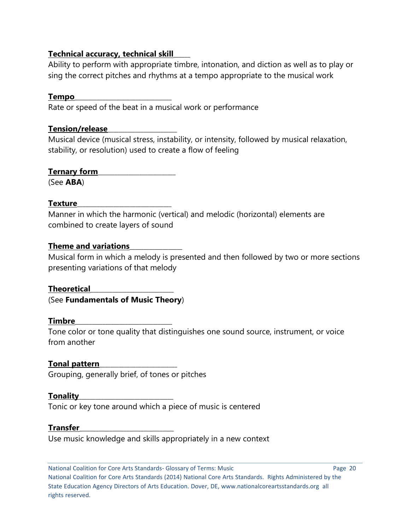## **Technical accuracy, technical skill**\_\_\_\_\_\_

Ability to perform with appropriate timbre, intonation, and diction as well as to play or sing the correct pitches and rhythms at a tempo appropriate to the musical work

## **Tempo**\_\_\_\_\_\_\_\_\_\_\_\_\_\_\_\_\_\_\_\_\_\_\_\_\_\_\_\_\_\_\_\_\_\_\_

Rate or speed of the beat in a musical work or performance

## **Tension/release**\_\_\_\_\_\_\_\_\_\_\_\_\_\_\_\_\_\_\_\_\_\_\_\_\_

Musical device (musical stress, instability, or intensity, followed by musical relaxation, stability, or resolution) used to create a flow of feeling

# **Ternary form**\_\_\_\_\_\_\_\_\_\_\_\_\_\_\_\_\_\_\_\_\_\_\_\_\_\_\_\_

(See **ABA**)

# **Texture**\_\_\_\_\_\_\_\_\_\_\_\_\_\_\_\_\_\_\_\_\_\_\_\_\_\_\_\_\_\_\_\_\_\_

Manner in which the harmonic (vertical) and melodic (horizontal) elements are combined to create layers of sound

# **Theme and variations**\_\_\_\_\_\_\_\_\_\_\_\_\_\_\_\_\_\_\_

Musical form in which a melody is presented and then followed by two or more sections presenting variations of that melody

**Theoretical**\_\_\_\_\_\_\_\_\_\_\_\_\_\_\_\_\_\_\_\_\_\_\_\_\_\_\_\_\_\_ (See **Fundamentals of Music Theory**)

# **Timbre**\_\_\_\_\_\_\_\_\_\_\_\_\_\_\_\_\_\_\_\_\_\_\_\_\_\_\_\_\_\_\_\_\_\_\_

Tone color or tone quality that distinguishes one sound source, instrument, or voice from another

# **Tonal pattern**\_\_\_\_\_\_\_\_\_\_\_\_\_\_\_\_\_\_\_\_\_\_\_\_\_\_\_\_

Grouping, generally brief, of tones or pitches

# **Tonality**\_\_\_\_\_\_\_\_\_\_\_\_\_\_\_\_\_\_\_\_\_\_\_\_\_\_\_\_\_\_\_\_\_\_

Tonic or key tone around which a piece of music is centered

## **Transfer**\_\_\_\_\_\_\_\_\_\_\_\_\_\_\_\_\_\_\_\_\_\_\_\_\_\_\_\_\_\_\_\_\_\_

Use music knowledge and skills appropriately in a new context

National Coalition for Core Arts Standards- Glossary of Terms: Music Page 20 National Coalition for Core Arts Standards (2014) National Core Arts Standards. Rights Administered by the State Education Agency Directors of Arts Education. Dover, DE, www.nationalcoreartsstandards.org all rights reserved.